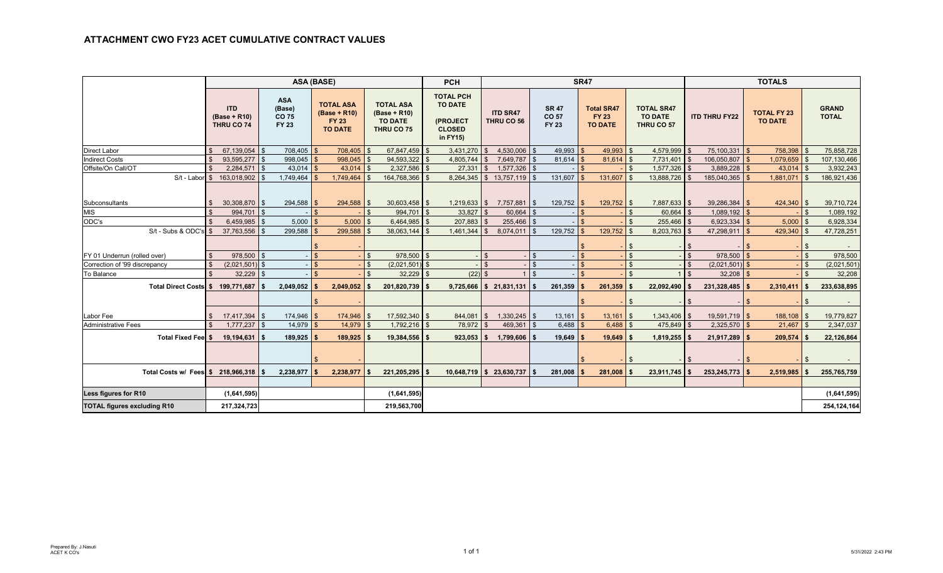|                                    |                    |                                          |                                               |                | <b>ASA (BASE)</b>                                                  |                    |                                                                  | <b>PCH</b>                                                                  |             |                                 |                       |              | <b>SR47</b>                                         |                |                                                   |     | <b>TOTALS</b><br><b>TOTAL FY 23</b><br><b>ITD THRU FY22</b><br><b>TO DATE</b><br>75,100,331 \$<br>758,398 \$<br>$1,079,659$ \$<br>106,050,807<br>3,889,228<br>$43,014$ \$<br>185,040,365<br>$1,881,071$ \$<br>39,286,384<br>424,340 \$<br>$\mathfrak{L}$<br>$1,089,192$ \$<br>6,923,334<br>$5,000$ \$<br>47,298,911<br>429,340 |              |             |                    |                              |
|------------------------------------|--------------------|------------------------------------------|-----------------------------------------------|----------------|--------------------------------------------------------------------|--------------------|------------------------------------------------------------------|-----------------------------------------------------------------------------|-------------|---------------------------------|-----------------------|--------------|-----------------------------------------------------|----------------|---------------------------------------------------|-----|--------------------------------------------------------------------------------------------------------------------------------------------------------------------------------------------------------------------------------------------------------------------------------------------------------------------------------|--------------|-------------|--------------------|------------------------------|
|                                    |                    | <b>ITD</b><br>(Base + R10)<br>THRU CO 74 | <b>ASA</b><br>(Base)<br>CO 75<br><b>FY 23</b> |                | <b>TOTAL ASA</b><br>(Base + R10)<br><b>FY 23</b><br><b>TO DATE</b> |                    | <b>TOTAL ASA</b><br>(Base + R10)<br><b>TO DATE</b><br>THRU CO 75 | <b>TOTAL PCH</b><br><b>TO DATE</b><br>(PROJECT<br><b>CLOSED</b><br>in FY15) |             | <b>ITD SR47</b><br>THRU CO 56   | CO 57<br><b>FY 23</b> | <b>SR 47</b> | <b>Total SR47</b><br><b>FY 23</b><br><b>TO DATE</b> |                | <b>TOTAL SR47</b><br><b>TO DATE</b><br>THRU CO 57 |     |                                                                                                                                                                                                                                                                                                                                |              |             |                    | <b>GRAND</b><br><b>TOTAL</b> |
| <b>Direct Labor</b>                | $\mathfrak{L}$     | 67,139,054 \$                            |                                               | $708,405$ \$   | 708,405                                                            | - \$               | 67,847,459 \$                                                    | 3,431,270                                                                   |             | $4,530,006$ \$                  |                       | 49,993       | 49,993<br>$\mathbf{\hat{z}}$                        | <b>S</b>       | 4,579,999 \$                                      |     |                                                                                                                                                                                                                                                                                                                                |              |             |                    | 75,858,728                   |
| <b>Indirect Costs</b>              | $\mathbb{S}$       | 93,595,277 \$                            |                                               | $998,045$ \$   | 998,045                                                            | \$                 | 94,593,322                                                       | $4,805,744$ \$                                                              |             | 7,649,787 \$                    |                       | 81,614       | $81,614$ \$<br>$\mathbb{S}$                         |                | 7,731,401 \$                                      |     |                                                                                                                                                                                                                                                                                                                                |              |             |                    | 107,130,466                  |
| Offsite/On Call/OT                 | $\mathbb{S}$       | $2,284,571$ \$                           |                                               | $43,014$ \$    | 43,014                                                             | \$                 | $2,327,586$ \$                                                   |                                                                             | $27,331$ \$ | $1,577,326$ \$                  |                       |              | $\mathbf{s}$                                        | l \$           | $1,577,326$ \$                                    |     |                                                                                                                                                                                                                                                                                                                                |              |             |                    | 3,932,243                    |
|                                    |                    | S/t - Labor \$ 163,018,902 \$            |                                               | $1,749,464$ \$ | 1,749,464                                                          | . ድ                | 164,768,366                                                      | I S                                                                         |             | 8,264,345 \$ 13,757,119 \$      |                       | 131,607      | $131,607$ \$<br>$\mathbf{\hat{f}}$                  |                | 13,888,726 \$                                     |     |                                                                                                                                                                                                                                                                                                                                |              |             |                    | 186,921,436                  |
| <b>Subconsultants</b>              | \$                 | $30,308,870$ \$                          |                                               | 294,588        | 294,588 \$<br>\$                                                   |                    | $30,603,458$ \$                                                  |                                                                             |             | $1,219,633$ \$ 7,757,881 \$     |                       | 129,752      | $129,752$ \$<br>\$                                  |                | 7,887,633 \$                                      |     |                                                                                                                                                                                                                                                                                                                                |              |             |                    | 39,710,724                   |
| <b>MIS</b>                         | \$                 | 994,701 \$                               |                                               |                | $\mathbf{s}$                                                       | $\mathfrak{s}$     | 994,701 \$                                                       |                                                                             | $33,827$ \$ | $60,664$ \$                     |                       |              | $\mathfrak{s}$                                      | \$             | $60,664$ \$                                       |     |                                                                                                                                                                                                                                                                                                                                |              |             | \$                 | 1,089,192                    |
| ODC's                              | $\mathbf{\hat{s}}$ | 6,459,985                                | $\mathfrak{L}$                                | $5,000$ \$     | 5,000                                                              | $\mathbf{\hat{s}}$ | 6,464,985                                                        | 207,883<br>$\mathsf{S}$                                                     |             | $255,466$ \$                    |                       |              | $\mathbf{\hat{s}}$                                  | $\mathbf{s}$   | $255,466$ \$                                      |     |                                                                                                                                                                                                                                                                                                                                |              |             |                    | 6,928,334                    |
| $S/t - Subs$ & ODC's $$$           |                    | 37,763,556                               | $\mathbf{\hat{S}}$                            | 299,588        | 299,588                                                            |                    | 38,063,144                                                       | 1,461,344                                                                   |             | $8,074,011$ \$<br>$\mathbf{\$}$ |                       | 129,752      | 129,752<br>$\mathfrak{L}$                           | \$             | $8,203,763$ \$                                    |     |                                                                                                                                                                                                                                                                                                                                |              |             |                    | 47,728,251                   |
|                                    |                    |                                          |                                               |                |                                                                    |                    |                                                                  |                                                                             |             |                                 |                       |              |                                                     | - \$           |                                                   |     |                                                                                                                                                                                                                                                                                                                                |              |             |                    |                              |
| FY 01 Underrun (rolled over)       | \$                 | 978,500 \$                               |                                               |                | $\mathbf{s}$                                                       | $\mathbf{\hat{R}}$ | 978,500 \$                                                       |                                                                             |             |                                 | $\mathfrak{L}$        |              | $\mathfrak{L}$                                      | $\mathfrak{S}$ |                                                   |     | 978,500                                                                                                                                                                                                                                                                                                                        |              |             | $\mathbf{\hat{S}}$ | 978,500                      |
| Correction of '99 discrepancy      | $\mathfrak{s}$     | $(2,021,501)$ \$                         |                                               |                | $\mathbf{s}$                                                       | \$                 | $(2,021,501)$ \$                                                 |                                                                             |             |                                 | $\mathbf{s}$          |              | $\mathbf{s}$                                        | $\mathfrak{S}$ |                                                   |     | (2,021,501)                                                                                                                                                                                                                                                                                                                    | \$           |             |                    | (2,021,501)                  |
| To Balance                         | $\mathbb{S}$       | $32,229$ \$                              |                                               |                | $\mathbf{s}$                                                       | $\mathfrak{s}$     | $32,229$ \$                                                      |                                                                             | $(22)$ \$   |                                 | $1$ $\sqrt{5}$        |              | $\mathfrak{L}$                                      | $\mathbf{s}$   |                                                   |     | 32,208                                                                                                                                                                                                                                                                                                                         | $\mathbf{s}$ |             | $\mathfrak{L}$     | 32,208                       |
| Total Direct Costs \$ 199,771,687  |                    |                                          | \$                                            | 2,049,052      | 2,049,052                                                          | -\$                | 201,820,739                                                      |                                                                             |             | $9,725,666$ \$ 21,831,131 \$    |                       | 261,359      | 261,359                                             |                | 22,092,490                                        |     | 231,328,485                                                                                                                                                                                                                                                                                                                    |              | 2,310,411   | \$                 | 233,638,895                  |
|                                    |                    |                                          |                                               |                | $\mathfrak{L}$                                                     |                    |                                                                  |                                                                             |             |                                 |                       |              |                                                     | $\sqrt{3}$     |                                                   | -15 |                                                                                                                                                                                                                                                                                                                                | \$           |             | $\mathfrak{L}$     | $\overline{\phantom{a}}$     |
| Labor Fee                          |                    | $17,417,394$ \$                          |                                               | $174,946$ \$   | 174,946                                                            | \$                 | 17,592,340 \$                                                    | $844,081$ \$                                                                |             | $1,330,245$ \$                  |                       | 13,161       | 13,161<br>$\mathbf{\hat{z}}$                        | l \$           | $1,343,406$ \$                                    |     | $19,591,719$ \$                                                                                                                                                                                                                                                                                                                |              | 188,108 \$  |                    | 19,779,827                   |
| <b>Administrative Fees</b>         | $\mathbf{s}$       | $1.777.237$ \$                           |                                               | 14,979         | 14,979<br>$\mathbf{s}$                                             | $\mathbf{\hat{s}}$ | 1,792,216                                                        | 78.972<br>l \$                                                              |             | 469.361 \$                      |                       | 6,488        | $6,488$ \$                                          |                | 475,849 \$                                        |     | $2,325,570$ \$                                                                                                                                                                                                                                                                                                                 |              | $21,467$ \$ |                    | 2,347,037                    |
| Total Fixed Fee \$                 |                    | $19,194,631$ \$                          |                                               | 189,925        | 189,925                                                            | - \$               | 19,384,556 \$                                                    | $923,053$ \$                                                                |             | $1,799,606$ \$                  |                       | 19,649       | 19,649<br>S.                                        | l S            | $1,819,255$   \$                                  |     | 21,917,289                                                                                                                                                                                                                                                                                                                     |              | 209,574     |                    | 22,126,864                   |
|                                    |                    |                                          |                                               |                |                                                                    |                    |                                                                  |                                                                             |             |                                 |                       |              |                                                     | <b>S</b>       |                                                   | -15 |                                                                                                                                                                                                                                                                                                                                |              |             |                    |                              |
| Total Costs w/ Fees \$ 218,966,318 |                    |                                          | \$                                            | 2,238,977      | 2,238,977                                                          | \$                 | 221,205,295                                                      |                                                                             |             | $10,648,719$ \$ 23,630,737 \$   |                       | 281,008      | 281,008<br>S.                                       |                | 23,911,745                                        |     | 253,245,773                                                                                                                                                                                                                                                                                                                    |              | 2,519,985   |                    | 255,765,759                  |
| Less figures for R10               |                    | (1,641,595)                              |                                               |                |                                                                    |                    | (1,641,595)                                                      |                                                                             |             |                                 |                       |              |                                                     |                |                                                   |     |                                                                                                                                                                                                                                                                                                                                |              |             |                    | (1,641,595)                  |
|                                    |                    |                                          |                                               |                |                                                                    |                    |                                                                  |                                                                             |             |                                 |                       |              |                                                     |                |                                                   |     |                                                                                                                                                                                                                                                                                                                                |              |             |                    |                              |
| <b>TOTAL figures excluding R10</b> |                    | 217,324,723                              |                                               |                |                                                                    |                    | 219,563,700                                                      |                                                                             |             |                                 |                       |              |                                                     |                |                                                   |     |                                                                                                                                                                                                                                                                                                                                |              |             |                    | 254, 124, 164                |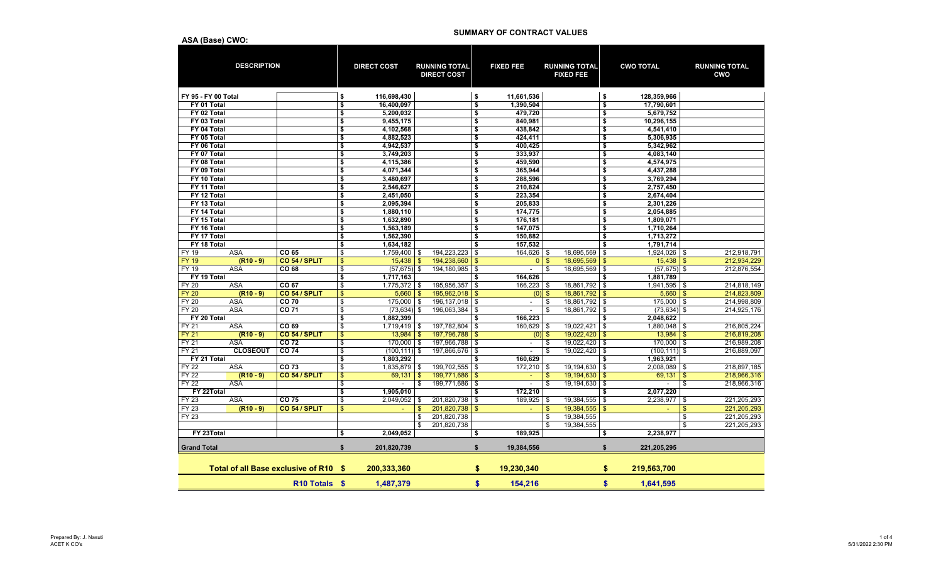|                    | <b>DESCRIPTION</b>                    |                           |                | <b>DIRECT COST</b> |               | <b>RUNNING TOTAL</b><br><b>DIRECT COST</b> |                         | <b>FIXED FEE</b>         |                           | <b>RUNNING TOTAL</b><br><b>FIXED FEE</b> |                         | <b>CWO TOTAL</b> |                | <b>RUNNING TOTAL</b><br><b>CWO</b> |
|--------------------|---------------------------------------|---------------------------|----------------|--------------------|---------------|--------------------------------------------|-------------------------|--------------------------|---------------------------|------------------------------------------|-------------------------|------------------|----------------|------------------------------------|
|                    | FY 95 - FY 00 Total                   |                           | \$             | 116,698,430        |               |                                            | \$                      | 11,661,536               |                           |                                          | \$                      | 128,359,966      |                |                                    |
| FY 01 Total        |                                       |                           | \$             | 16.400.097         |               |                                            | \$                      | 1,390,504                |                           |                                          | \$                      | 17,790,601       |                |                                    |
| FY 02 Total        |                                       |                           | \$             | 5,200,032          |               |                                            | $\overline{\mathbf{s}}$ | 479,720                  |                           |                                          | \$                      | 5,679,752        |                |                                    |
| FY 03 Total        |                                       |                           | \$             | 9,455,175          |               |                                            | \$                      | 840.981                  |                           |                                          | \$                      | 10,296,155       |                |                                    |
| FY 04 Total        |                                       |                           | \$             | 4,102,568          |               |                                            | \$                      | 438,842                  |                           |                                          | \$                      | 4,541,410        |                |                                    |
| FY 05 Total        |                                       |                           | \$             | 4,882,523          |               |                                            | \$                      | 424,411                  |                           |                                          | \$                      | 5,306,935        |                |                                    |
| FY 06 Total        |                                       |                           | \$             | 4,942,537          |               |                                            | \$                      | 400,425                  |                           |                                          | \$                      | 5,342,962        |                |                                    |
| FY 07 Total        |                                       |                           | \$             | 3,749,203          |               |                                            | \$                      | 333,937                  |                           |                                          | \$                      | 4,083,140        |                |                                    |
| FY 08 Total        |                                       |                           | \$             | 4,115,386          |               |                                            | \$                      | 459,590                  |                           |                                          | \$                      | 4,574,975        |                |                                    |
| FY 09 Total        |                                       |                           | \$             | 4,071,344          |               |                                            | \$                      | 365,944                  |                           |                                          | \$                      | 4,437,288        |                |                                    |
| FY 10 Total        |                                       |                           | \$             | 3,480,697          |               |                                            | \$                      | 288,596                  |                           |                                          | $\overline{\mathbf{s}}$ | 3,769,294        |                |                                    |
| FY 11 Total        |                                       |                           | \$             | 2,546,627          |               |                                            | $\overline{\bullet}$    | 210,824                  |                           |                                          | \$                      | 2,757,450        |                |                                    |
| FY 12 Total        |                                       |                           | \$             | 2.451.050          |               |                                            | \$                      | 223,354                  |                           |                                          | \$                      | 2,674,404        |                |                                    |
| FY 13 Total        |                                       |                           | \$             | 2,095,394          |               |                                            | \$                      | 205,833                  |                           |                                          | \$                      | 2,301,226        |                |                                    |
| FY 14 Total        |                                       |                           | \$             | 1,880,110          |               |                                            | \$                      | 174,775                  |                           |                                          | \$                      | 2,054,885        |                |                                    |
| FY 15 Total        |                                       |                           | \$             | 1,632,890          |               |                                            | \$                      | 176,181                  |                           |                                          | \$                      | 1,809,071        |                |                                    |
| FY 16 Total        |                                       |                           | \$             | 1,563,189          |               |                                            | \$                      | 147,075                  |                           |                                          | \$                      | 1,710,264        |                |                                    |
| FY 17 Total        |                                       |                           | \$             | 1,562,390          |               |                                            | \$                      | 150.882                  |                           |                                          | \$                      | 1,713,272        |                |                                    |
| FY 18 Total        |                                       |                           | \$             | 1,634,182          |               |                                            | \$                      | 157,532                  |                           |                                          | \$                      | 1,791,714        |                |                                    |
| FY 19              | <b>ASA</b>                            | CO 65                     | \$             | 1,759,400 \$       |               | 194,223,223                                | \$                      | $164,626$ \$             |                           | 18,695,569                               | \$                      | $1,924,026$ \$   |                | 212.918.791                        |
| <b>FY 19</b>       | $(R10 - 9)$                           | CO 54 / SPLIT             | $\mathfrak{s}$ |                    |               | 194,238,660                                | \$                      | $\mathbf{0}$             | $\boldsymbol{\mathsf{s}}$ | 18,695,569                               | -\$                     | $15,438$ \ \$    |                | 212,934,229                        |
| FY 19              | <b>ASA</b>                            | CO 68                     | \$             | $(57, 675)$ \$     |               | 194,180,985                                | \$                      | $\sim$                   | \$                        | 18,695,569                               | $\sqrt{3}$              | $(57, 675)$ \$   |                | 212,876,554                        |
| FY 19 Total        |                                       |                           | \$             | 1,717,163          |               |                                            | \$                      | 164,626                  |                           |                                          | \$                      | 1,881,789        |                |                                    |
| <b>FY 20</b>       | <b>ASA</b>                            | CO 67                     | \$             | $1,775,372$ \$     |               | 195,956,357                                | \$                      | 166,223                  | \$                        | 18,861,792                               | \$                      | $1,941,595$ \$   |                | 214,818,149                        |
| <b>FY 20</b>       | $(R10 - 9)$                           | CO 54 / SPLIT             | \$             | 5,660              | $\mathbf{\$}$ | 195,962,018                                | \$                      | $(0)$ \$                 |                           | 18,861,792                               | $\mathfrak{F}$          | $5,660$ \$       |                | 214,823,809                        |
| <b>FY 20</b>       | ASA                                   | CO 70                     | \$             | 175,000 \$         |               | 196, 137, 018                              | \$                      | $\blacksquare$           | \$                        | 18,861,792                               | \$                      | 175,000 \$       |                | 214,998,809                        |
| <b>FY 20</b>       | <b>ASA</b>                            | CO 71                     | \$             | $(73, 634)$ \$     |               | 196.063.384                                | \$                      | $\blacksquare$           | \$                        | 18.861.792                               | -\$                     | $(73, 634)$ \$   |                | 214,925,176                        |
| FY 20 Total        |                                       |                           | \$             | 1,882,399          |               |                                            | \$                      | 166,223                  |                           |                                          | \$                      | 2,048,622        |                |                                    |
| FY 21              | <b>ASA</b>                            | CO 69                     | \$             | $1,719,419$ \$     |               | 197,782,804                                | \$                      | 160,629 \$               |                           | 19,022,421                               | \$                      | $1,880,048$ \$   |                | 216,805,224                        |
| <b>FY 21</b>       | $(R10 - 9)$                           | CO 54 / SPLIT             | \$             | $13,984$ \$        |               | 197,796,788                                | $\frac{3}{2}$           | $(0)$ \$                 |                           | 19,022,420                               | $\sqrt[3]{3}$           | $13,984$ \$      |                | 216,819,208                        |
| <b>FY 21</b>       | ASA                                   | CO 72                     | \$             | $170,000$ \$       |               | 197,966,788                                | \$                      | $\overline{\phantom{a}}$ | \$                        | 19,022,420                               | <b>\$</b>               | 170,000 \$       |                | 216,989,208                        |
| <b>FY 21</b>       | <b>CLOSEOUT</b>                       | CO 74                     | \$             | $(100, 111)$ \$    |               | 197,866,676                                | \$                      | $\blacksquare$           | \$                        | 19,022,420                               | \$                      | $(100, 111)$ \$  |                | 216,889,097                        |
| FY 21 Total        |                                       |                           | \$             | 1,803,292          |               |                                            | \$                      | 160,629                  |                           |                                          | \$                      | 1,963,921        |                |                                    |
| <b>FY 22</b>       | ASA                                   | CO 73                     | \$             | 1,835,879 \$       |               | 199,702,555                                | \$                      | $172,210$ \$             |                           | 19,194,630                               | -\$                     | $2,008,089$ \$   |                | 218,897,185                        |
| <b>FY 22</b>       | $(R10 - 9)$                           | CO 54 / SPLIT             | \$             | 69,131             | $\mathbf{\$}$ | 199,771,686                                | $\mathsf{\$}$           | $\blacksquare$           | \$                        | 19,194,630                               | $\mathbf{\$}$           | 69,131           | $\mathfrak{s}$ | 218,966,316                        |
| <b>FY 22</b>       | <b>ASA</b>                            |                           | \$             | $\sim$             | \$            | 199,771,686                                | \$                      | $\overline{\phantom{a}}$ | \$                        | 19,194,630                               | l \$                    | $\blacksquare$   | \$             | 218,966,316                        |
| FY 22Total         |                                       |                           | \$             | 1,905,010          |               |                                            | \$                      | 172,210                  |                           |                                          | \$                      | 2,077,220        |                |                                    |
| <b>FY 23</b>       | ASA                                   | CO 75                     | \$             | 2,049,052          | \$            | 201,820,738                                | \$                      | 189,925 \$               |                           | 19,384,555                               | \$                      | 2,238,977        | \$             | 221,205,293                        |
| FY 23              | $(R10 - 9)$                           | CO 54 / SPLIT             | \$             |                    | $\mathsf{\$}$ | 201,820,738                                | \$                      | $\omega$                 | \$                        | 19,384,555                               | $\mathfrak{F}$          |                  | \$             | 221,205,293                        |
| FY 23              |                                       |                           |                |                    | \$            | 201,820,738                                |                         |                          | \$                        | 19,384,555                               |                         |                  | \$             | 221,205,293                        |
|                    |                                       |                           |                |                    | \$            | 201,820,738                                |                         |                          | \$                        | 19,384,555                               |                         |                  | \$             | 221,205,293                        |
| FY 23Total         |                                       |                           | \$             | 2.049.052          |               |                                            | \$                      | 189.925                  |                           |                                          | \$                      | 2,238,977        |                |                                    |
| <b>Grand Total</b> |                                       |                           | \$             | 201,820,739        |               |                                            | \$                      | 19,384,556               |                           |                                          | \$                      | 221,205,295      |                |                                    |
|                    | Total of all Base exclusive of R10 \$ |                           |                | 200.333.360        |               |                                            | \$                      | 19,230,340               |                           |                                          | \$                      | 219,563,700      |                |                                    |
|                    |                                       | R <sub>10</sub> Totals \$ |                | 1.487.379          |               |                                            | $\mathbf{s}$            | 154.216                  |                           |                                          | \$                      | 1.641.595        |                |                                    |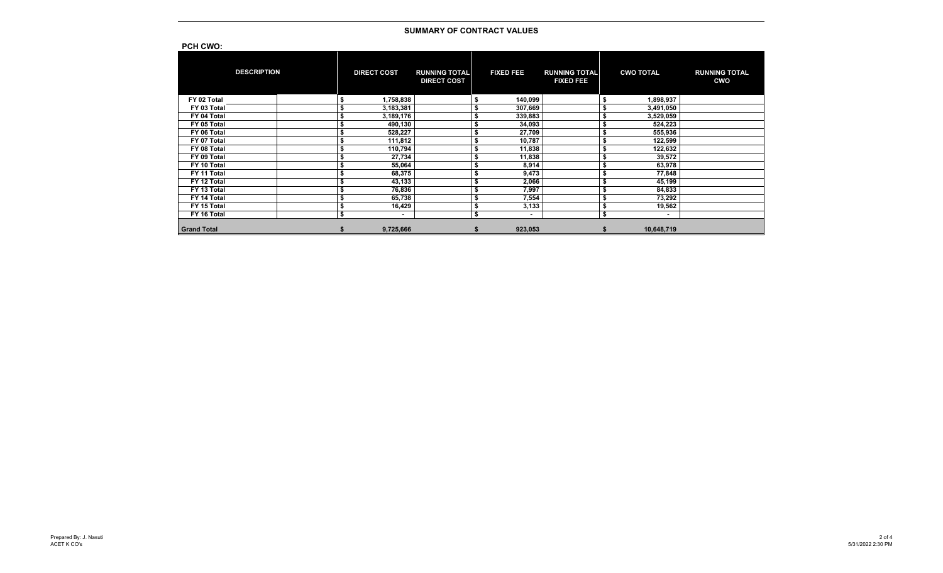| <b>PCH CWO:</b>    |    |                    |                                            |                  |                                          |                  |                                    |
|--------------------|----|--------------------|--------------------------------------------|------------------|------------------------------------------|------------------|------------------------------------|
| <b>DESCRIPTION</b> |    | <b>DIRECT COST</b> | <b>RUNNING TOTAL</b><br><b>DIRECT COST</b> | <b>FIXED FEE</b> | <b>RUNNING TOTAL</b><br><b>FIXED FEE</b> | <b>CWO TOTAL</b> | <b>RUNNING TOTAL</b><br><b>CWO</b> |
| FY 02 Total        |    | 1,758,838          |                                            | \$<br>140,099    |                                          | 1,898,937        |                                    |
| FY 03 Total        |    | 3,183,381          |                                            | \$<br>307,669    |                                          | 3,491,050        |                                    |
| FY 04 Total        |    | 3,189,176          |                                            | \$<br>339,883    |                                          | 3,529,059        |                                    |
| FY 05 Total        |    | 490,130            |                                            | \$<br>34,093     |                                          | 524,223          |                                    |
| FY 06 Total        |    | 528,227            |                                            | \$<br>27,709     |                                          | 555,936          |                                    |
| FY 07 Total        |    | 111,812            |                                            | \$<br>10,787     |                                          | 122,599          |                                    |
| FY 08 Total        |    | 110,794            |                                            | \$<br>11,838     |                                          | 122,632          |                                    |
| FY 09 Total        |    | 27,734             |                                            | \$<br>11,838     |                                          | 39,572           |                                    |
| FY 10 Total        |    | 55,064             |                                            | \$<br>8,914      |                                          | 63,978           |                                    |
| FY 11 Total        |    | 68,375             |                                            | \$<br>9,473      |                                          | 77,848           |                                    |
| FY 12 Total        |    | 43,133             |                                            | \$<br>2,066      |                                          | 45,199           |                                    |
| FY 13 Total        |    | 76,836             |                                            | \$<br>7,997      |                                          | 84,833           |                                    |
| FY 14 Total        |    | 65,738             |                                            | \$<br>7,554      |                                          | 73,292           |                                    |
| FY 15 Total        |    | 16,429             |                                            | \$<br>3,133      |                                          | 19,562           |                                    |
| FY 16 Total        | Ŝ. | ۰                  |                                            | \$<br>٠          |                                          | $\,$             |                                    |
| <b>Grand Total</b> |    | 9,725,666          |                                            | 923,053          |                                          | 10,648,719       |                                    |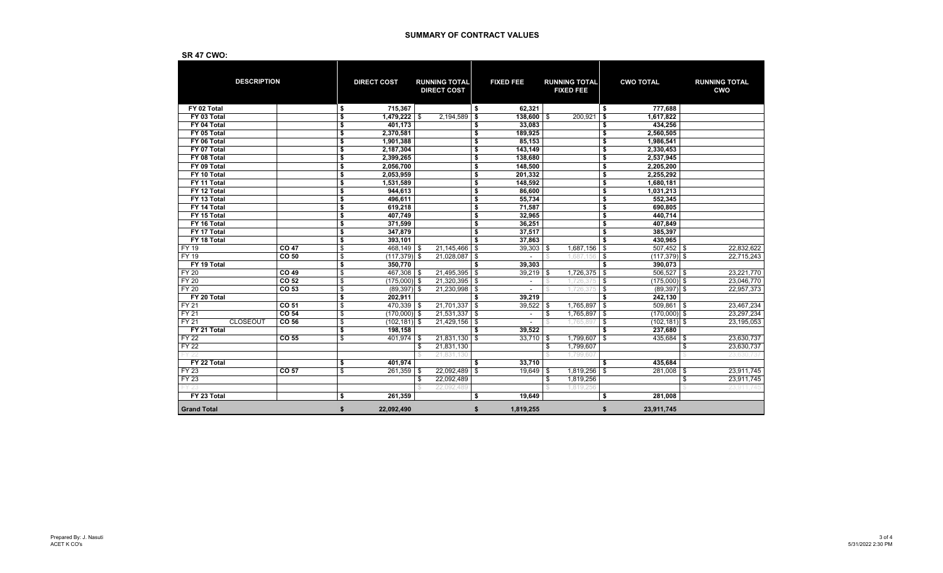| טויט ודי                       |                  |                       |      |                                            |                                |      |                                          |                         |                  |                                    |
|--------------------------------|------------------|-----------------------|------|--------------------------------------------|--------------------------------|------|------------------------------------------|-------------------------|------------------|------------------------------------|
| <b>DESCRIPTION</b>             |                  | <b>DIRECT COST</b>    |      | <b>RUNNING TOTAL</b><br><b>DIRECT COST</b> | <b>FIXED FEE</b>               |      | <b>RUNNING TOTAL</b><br><b>FIXED FEE</b> |                         | <b>CWO TOTAL</b> | <b>RUNNING TOTAL</b><br><b>CWO</b> |
| FY 02 Total                    |                  | \$<br>715,367         |      |                                            | \$<br>62,321                   |      |                                          | \$                      | 777,688          |                                    |
| FY 03 Total                    |                  | \$<br>1,479,222       | - \$ | 2,194,589                                  | \$<br>$138,600$ \$             |      | 200,921                                  | \$                      | 1,617,822        |                                    |
| FY 04 Total                    |                  | \$<br>401,173         |      |                                            | \$<br>33,083                   |      |                                          | \$                      | 434,256          |                                    |
| FY 05 Total                    |                  | \$<br>2,370,581       |      |                                            | \$<br>189,925                  |      |                                          | \$                      | 2,560,505        |                                    |
| FY 06 Total                    |                  | \$<br>1,901,388       |      |                                            | \$<br>85,153                   |      |                                          | \$                      | 1,986,541        |                                    |
| FY 07 Total                    |                  | \$<br>2,187,304       |      |                                            | \$<br>143,149                  |      |                                          | \$                      | 2.330.453        |                                    |
| FY 08 Total                    |                  | \$<br>2,399,265       |      |                                            | \$<br>138,680                  |      |                                          | \$                      | 2,537,945        |                                    |
| FY 09 Total                    |                  | \$<br>2,056,700       |      |                                            | \$<br>148,500                  |      |                                          | \$                      | 2,205,200        |                                    |
| FY 10 Total                    |                  | \$<br>2,053,959       |      |                                            | \$<br>201,332                  |      |                                          | \$                      | 2,255,292        |                                    |
| FY 11 Total                    |                  | \$<br>1,531,589       |      |                                            | \$<br>148,592                  |      |                                          | \$                      | 1,680,181        |                                    |
| FY 12 Total                    |                  | \$<br>944,613         |      |                                            | \$<br>86,600                   |      |                                          | \$                      | 1,031,213        |                                    |
| FY 13 Total                    |                  | \$<br>496,611         |      |                                            | \$<br>55,734                   |      |                                          | \$                      | 552,345          |                                    |
| FY 14 Total                    |                  | \$<br>619,218         |      |                                            | \$<br>71,587                   |      |                                          | \$                      | 690,805          |                                    |
| FY 15 Total                    |                  | \$<br>407,749         |      |                                            | \$<br>32,965                   |      |                                          | \$                      | 440,714          |                                    |
| FY 16 Total                    |                  | \$<br>371.599         |      |                                            | \$<br>36.251                   |      |                                          | \$                      | 407.849          |                                    |
| FY 17 Total                    |                  | \$<br>347,879         |      |                                            | \$<br>37,517                   |      |                                          | $\overline{\mathbf{s}}$ | 385,397          |                                    |
| FY 18 Total                    |                  | \$<br>393,101         |      |                                            | \$<br>37.863                   |      |                                          | \$                      | 430,965          |                                    |
| FY 19                          | <b>CO 47</b>     | \$<br>468,149         | \$   | 21,145,466                                 | \$<br>39,303                   | l \$ | 1,687,156                                | \$                      | $507,452$ \$     | 22,832,622                         |
| <b>FY 19</b>                   | CO 50            | \$<br>$(117, 379)$ \$ |      | 21,028,087                                 | \$<br>$\overline{\phantom{a}}$ |      | 1,687,156                                | \$                      | $(117, 379)$ \$  | 22,715,243                         |
| FY 19 Total                    |                  | \$<br>350,770         |      |                                            | \$<br>39,303                   |      |                                          | \$                      | 390.073          |                                    |
| <b>FY 20</b>                   | CO 49            | \$<br>$467,308$ \$    |      | 21,495,395                                 | \$<br>39,219                   | \$   | 1,726,375                                | \$                      | $506,527$ \$     | 23,221,770                         |
| <b>FY 20</b>                   | CO 52            | \$<br>$(175,000)$ \$  |      | $21,320,395$ \$                            | $\overline{\phantom{a}}$       |      | 1.726.375                                | \$                      | $(175,000)$ \$   | 23,046,770                         |
| <b>FY 20</b>                   | CO 53            | \$<br>$(89, 397)$ \$  |      | 21,230,998                                 | \$                             |      | 1,726,375                                | \$                      | $(89,397)$ \$    | 22,957,373                         |
| FY 20 Total                    |                  | \$<br>202.911         |      |                                            | \$<br>39.219                   |      |                                          | \$                      | 242,130          |                                    |
| FY 21                          | CO 51            | \$<br>$470,339$ \$    |      | 21,701,337                                 | \$<br>39,522                   | -\$  | 1,765,897                                | \$                      | $509,861$ \$     | 23,467,234                         |
| FY 21                          | CO <sub>54</sub> | \$<br>$(170,000)$ \$  |      | $21,531,337$ \$                            | $\sim$                         | \$   | 1,765,897                                | \$                      | $(170,000)$ \$   | 23,297,234                         |
| <b>FY21</b><br><b>CLOSEOUT</b> | CO <sub>56</sub> | \$<br>$(102, 181)$ \$ |      | 21,429,156                                 | \$                             |      | 1.765.89                                 | \$                      | $(102, 181)$ \$  | 23,195,053                         |
| FY 21 Total                    |                  | \$<br>198,158         |      |                                            | \$<br>39,522                   |      |                                          | \$                      | 237,680          |                                    |
| <b>FY 22</b>                   | CO 55            | \$<br>$401,974$ \$    |      | 21,831,130                                 | \$<br>33,710                   | \$   | 1,799,607 \$                             |                         | 435,684          | \$<br>23,630,737                   |
| $FY\overline{22}$              |                  |                       | \$   | 21,831,130                                 |                                | \$   | 1,799,607                                |                         |                  | \$<br>23,630,737                   |
| FY 21                          |                  |                       |      | 21.831.130                                 |                                |      | 1.799.60                                 |                         |                  | 23.630.7                           |
| FY 22 Total                    |                  | \$<br>401,974         |      |                                            | \$<br>33,710                   |      |                                          | \$                      | 435,684          |                                    |
| FY 23                          | CO 57            | \$<br>$261,359$ \$    |      | 22,092,489                                 | \$<br>$19,649$ \$              |      | 1,819,256 \$                             |                         | 281,008          | \$<br>23,911,745                   |
| FY 23                          |                  |                       | \$   | 22,092,489                                 |                                | \$   | 1,819,256                                |                         |                  | \$<br>23,911,745                   |
|                                |                  |                       |      | 22.092.489                                 |                                |      | 1,819,256                                |                         |                  | 23,911,745                         |
| FY 23 Total                    |                  | \$<br>261,359         |      |                                            | \$<br>19.649                   |      |                                          | \$                      | 281.008          |                                    |
| <b>Grand Total</b>             |                  | \$<br>22.092.490      |      |                                            | \$<br>1.819.255                |      |                                          | \$                      | 23.911.745       |                                    |

# **SR 47 CWO:**